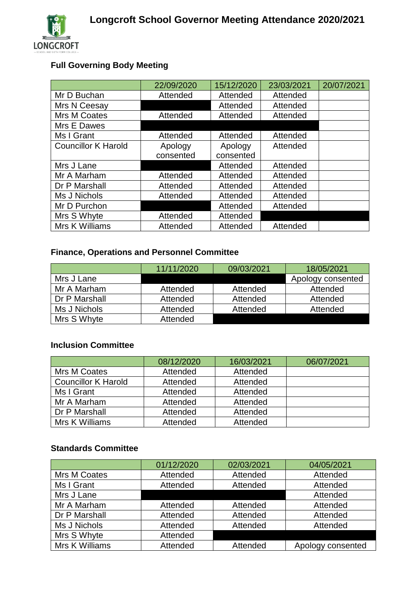# **Full Governing Body Meeting**

|                            | 22/09/2020 | 15/12/2020 | 23/03/2021 | 20/07/2021 |
|----------------------------|------------|------------|------------|------------|
| Mr D Buchan                | Attended   | Attended   | Attended   |            |
| Mrs N Ceesay               |            | Attended   | Attended   |            |
| Mrs M Coates               | Attended   | Attended   | Attended   |            |
| Mrs E Dawes                |            |            |            |            |
| Ms I Grant                 | Attended   | Attended   | Attended   |            |
| <b>Councillor K Harold</b> | Apology    | Apology    | Attended   |            |
|                            | consented  | consented  |            |            |
| Mrs J Lane                 |            | Attended   | Attended   |            |
| Mr A Marham                | Attended   | Attended   | Attended   |            |
| Dr P Marshall              | Attended   | Attended   | Attended   |            |
| Ms J Nichols               | Attended   | Attended   | Attended   |            |
| Mr D Purchon               |            | Attended   | Attended   |            |
| Mrs S Whyte                | Attended   | Attended   |            |            |
| Mrs K Williams             | Attended   | Attended   | Attended   |            |

## **Finance, Operations and Personnel Committee**

|               | 11/11/2020 | 09/03/2021 | 18/05/2021        |
|---------------|------------|------------|-------------------|
| Mrs J Lane    |            |            | Apology consented |
| Mr A Marham   | Attended   | Attended   | Attended          |
| Dr P Marshall | Attended   | Attended   | Attended          |
| Ms J Nichols  | Attended   | Attended   | Attended          |
| Mrs S Whyte   | Attended   |            |                   |

#### **Inclusion Committee**

|                            | 08/12/2020 | 16/03/2021 | 06/07/2021 |
|----------------------------|------------|------------|------------|
| Mrs M Coates               | Attended   | Attended   |            |
| <b>Councillor K Harold</b> | Attended   | Attended   |            |
| Ms I Grant                 | Attended   | Attended   |            |
| Mr A Marham                | Attended   | Attended   |            |
| Dr P Marshall              | Attended   | Attended   |            |
| Mrs K Williams             | Attended   | Attended   |            |

### **Standards Committee**

|                | 01/12/2020 | 02/03/2021 | 04/05/2021        |
|----------------|------------|------------|-------------------|
| Mrs M Coates   | Attended   | Attended   | Attended          |
| Ms I Grant     | Attended   | Attended   | Attended          |
| Mrs J Lane     |            |            | Attended          |
| Mr A Marham    | Attended   | Attended   | Attended          |
| Dr P Marshall  | Attended   | Attended   | Attended          |
| Ms J Nichols   | Attended   | Attended   | Attended          |
| Mrs S Whyte    | Attended   |            |                   |
| Mrs K Williams | Attended   | Attended   | Apology consented |